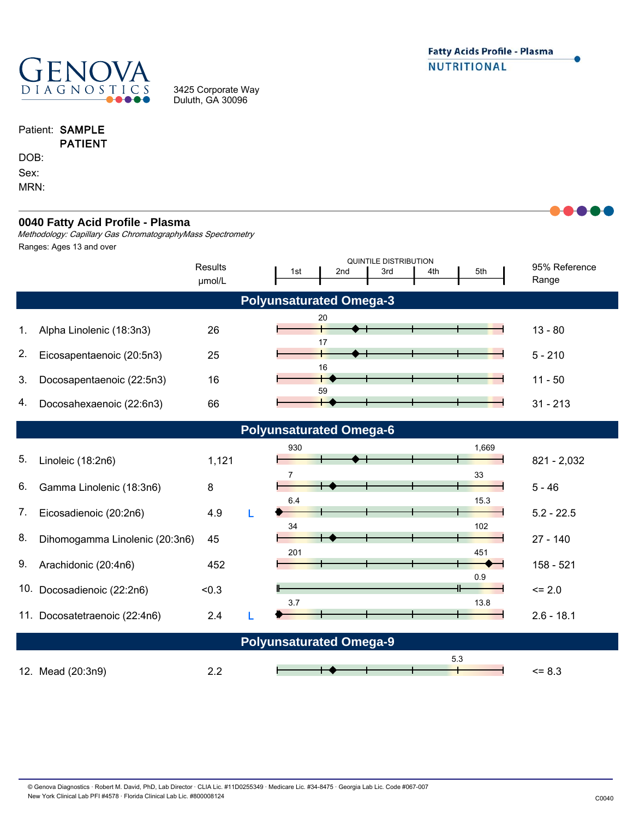

3425 Corporate Way Duluth, GA 30096

|      | Patient: SAMPLE |
|------|-----------------|
|      | <b>PATIENT</b>  |
| DOB: |                 |
| Sex: |                 |
| MRN· |                 |

## **Polyunsaturated Omega-3** 95% Reference Range Methodology: Capillary Gas ChromatographyMass Spectrometry QUINTILE DISTRIBUTION 1st 2nd 3rd 4th 5th 1. 2. 3. 4. 5. 6. 7. 11. Docosatetraenoic (22:4n6) 2.4 L <del>December 11 L 2.6</del> - 18.1 10. Docosadienoic (22:2n6) <0.3 <= 2.0 9. 8. **Results** 12. Mead (20:3n9) 2.2 <= 8.3 **0040 Fatty Acid Profile - Plasma** Alpha Linolenic (18:3n3) 26 28 13 - 80 20 Docosapentaenoic (22:5n3) 16 11 - 50 16 Eicosapentaenoic (20:5n3) 25 5 - 210 17 Docosahexaenoic (22:6n3) 66 31 - 31 - 213 59 5.3 0.9 **Polyunsaturated Omega-6** Linoleic (18:2n6)  $1,121$   $\longrightarrow$   $\longrightarrow$   $\longrightarrow$   $\longrightarrow$  821 - 2,032 930 1,669 Gamma Linolenic (18:3n6) 8 5 - 46  $7 \overline{\phantom{1}}$  33 Eicosadienoic (20:2n6) 4.9 L <del>Dent Hand Hand 1</del> 5.2 - 22.5 6.4 15.3 Dihomogamma Linolenic (20:3n6) 45 27 - 140 34 102 Arachidonic (20:4n6) 452 158 - 521 201 451  $3.7$  13.8 **Polyunsaturated Omega-9** Ranges: Ages 13 and over μmol/L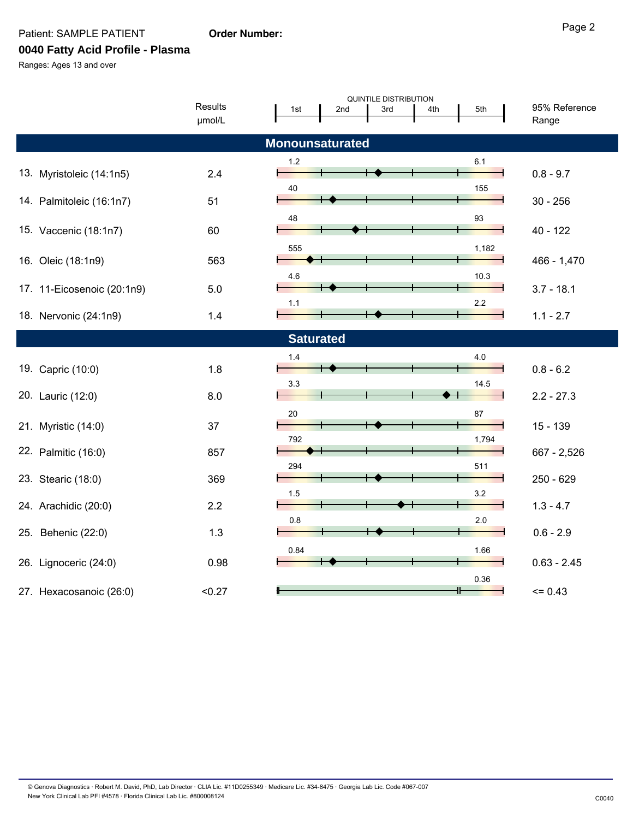Patient: SAMPLE PATIENT

## **Order Number:**

**0040 Fatty Acid Profile - Plasma**

Ranges: Ages 13 and over

| <b>QUINTILE DISTRIBUTION</b> |         |       |                  |     |     |       |               |  |  |
|------------------------------|---------|-------|------------------|-----|-----|-------|---------------|--|--|
|                              | Results | 1st   | 2 <sub>nd</sub>  | 3rd | 4th | 5th   | 95% Reference |  |  |
|                              | µmol/L  |       |                  |     |     |       | Range         |  |  |
|                              |         |       |                  |     |     |       |               |  |  |
| <b>Monounsaturated</b>       |         |       |                  |     |     |       |               |  |  |
|                              |         | $1.2$ |                  |     |     | 6.1   |               |  |  |
| 13. Myristoleic (14:1n5)     | 2.4     |       |                  |     |     |       | $0.8 - 9.7$   |  |  |
| 14. Palmitoleic (16:1n7)     | 51      | 40    |                  |     |     | 155   | $30 - 256$    |  |  |
|                              |         |       |                  |     |     |       |               |  |  |
|                              | 60      | 48    |                  |     |     | 93    | $40 - 122$    |  |  |
| 15. Vaccenic (18:1n7)        |         |       |                  |     |     |       |               |  |  |
|                              |         | 555   |                  |     |     | 1,182 |               |  |  |
| 16. Oleic (18:1n9)           | 563     |       |                  |     |     |       | $466 - 1,470$ |  |  |
|                              |         | 4.6   |                  |     |     | 10.3  |               |  |  |
| 17. 11-Eicosenoic (20:1n9)   | 5.0     |       |                  |     |     |       | $3.7 - 18.1$  |  |  |
|                              |         | 1.1   |                  |     |     | 2.2   |               |  |  |
| 18. Nervonic (24:1n9)        | 1.4     |       |                  |     |     |       | $1.1 - 2.7$   |  |  |
|                              |         |       | <b>Saturated</b> |     |     |       |               |  |  |
|                              |         | 1.4   |                  |     |     | 4.0   |               |  |  |
| 19. Capric (10:0)            | 1.8     |       |                  |     |     |       | $0.8 - 6.2$   |  |  |
|                              |         | 3.3   |                  |     |     | 14.5  |               |  |  |
| 20. Lauric (12:0)            | 8.0     |       |                  |     |     |       | $2.2 - 27.3$  |  |  |
|                              |         | 20    |                  |     |     | 87    |               |  |  |
| 21. Myristic (14:0)          | 37      |       |                  |     |     |       | $15 - 139$    |  |  |
|                              |         | 792   |                  |     |     | 1,794 |               |  |  |
| 22. Palmitic (16:0)          | 857     |       |                  |     |     |       | 667 - 2,526   |  |  |
|                              |         | 294   |                  |     |     | 511   |               |  |  |
| 23. Stearic (18:0)           | 369     |       |                  |     |     |       | 250 - 629     |  |  |
|                              |         | 1.5   |                  |     |     | 3.2   |               |  |  |
| 24. Arachidic (20:0)         | 2.2     |       |                  |     |     |       | $1.3 - 4.7$   |  |  |
|                              |         | 0.8   |                  |     |     | 2.0   |               |  |  |
| 25. Behenic (22:0)           | 1.3     |       |                  |     |     |       | $0.6 - 2.9$   |  |  |
|                              |         | 0.84  |                  |     |     | 1.66  |               |  |  |
| 26. Lignoceric (24:0)        | 0.98    |       |                  |     |     |       | $0.63 - 2.45$ |  |  |
|                              |         |       |                  |     |     | 0.36  |               |  |  |
| 27. Hexacosanoic (26:0)      | < 0.27  |       |                  |     |     |       | $= 0.43$      |  |  |